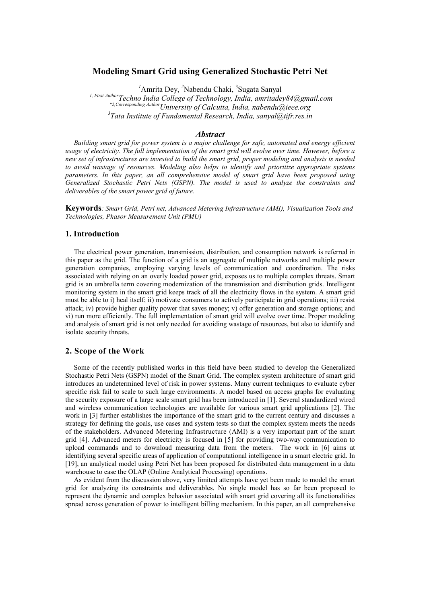# **Modeling Smart Grid using Generalized Stochastic Petri Net**

<sup>1</sup> Amrita Dey, <sup>2</sup>Nabendu Chaki, <sup>3</sup>Sugata Sanyal

*1, First AuthorTechno India College of Technology, India, amritadey84@gmail.com \*2,Corresponding AuthorUniversity of Calcutta, India, nabendu@ieee.org 3 Tata Institute of Fundamental Research, India, sanyal@tifr.res.in* 

#### *Abstract*

*Building smart grid for power system is a major challenge for safe, automated and energy efficient usage of electricity. The full implementation of the smart grid will evolve over time. However, before a new set of infrastructures are invested to build the smart grid, proper modeling and analysis is needed to avoid wastage of resources. Modeling also helps to identify and prioritize appropriate systems parameters. In this paper, an all comprehensive model of smart grid have been proposed using Generalized Stochastic Petri Nets (GSPN). The model is used to analyze the constraints and deliverables of the smart power grid of future.* 

**Keywords***: Smart Grid, Petri net, Advanced Metering Infrastructure (AMI), Visualization Tools and Technologies, Phasor Measurement Unit (PMU)* 

# **1. Introduction**

The electrical power generation, transmission, distribution, and consumption network is referred in this paper as the grid. The function of a grid is an aggregate of multiple networks and multiple power generation companies, employing varying levels of communication and coordination. The risks associated with relying on an overly loaded power grid, exposes us to multiple complex threats. Smart grid is an umbrella term covering modernization of the transmission and distribution grids. Intelligent monitoring system in the smart grid keeps track of all the electricity flows in the system. A smart grid must be able to i) heal itself; ii) motivate consumers to actively participate in grid operations; iii) resist attack; iv) provide higher quality power that saves money; v) offer generation and storage options; and vi) run more efficiently. The full implementation of smart grid will evolve over time. Proper modeling and analysis of smart grid is not only needed for avoiding wastage of resources, but also to identify and isolate security threats.

# **2. Scope of the Work**

Some of the recently published works in this field have been studied to develop the Generalized Stochastic Petri Nets (GSPN) model of the Smart Grid. The complex system architecture of smart grid introduces an undetermined level of risk in power systems. Many current techniques to evaluate cyber specific risk fail to scale to such large environments. A model based on access graphs for evaluating the security exposure of a large scale smart grid has been introduced in [1]. Several standardized wired and wireless communication technologies are available for various smart grid applications [2]. The work in [3] further establishes the importance of the smart grid to the current century and discusses a strategy for defining the goals, use cases and system tests so that the complex system meets the needs of the stakeholders. Advanced Metering Infrastructure (AMI) is a very important part of the smart grid [4]. Advanced meters for electricity is focused in [5] for providing two-way communication to upload commands and to download measuring data from the meters. The work in [6] aims at identifying several specific areas of application of computational intelligence in a smart electric grid. In [19], an analytical model using Petri Net has been proposed for distributed data management in a data warehouse to ease the OLAP (Online Analytical Processing) operations.

As evident from the discussion above, very limited attempts have yet been made to model the smart grid for analyzing its constraints and deliverables. No single model has so far been proposed to represent the dynamic and complex behavior associated with smart grid covering all its functionalities spread across generation of power to intelligent billing mechanism. In this paper, an all comprehensive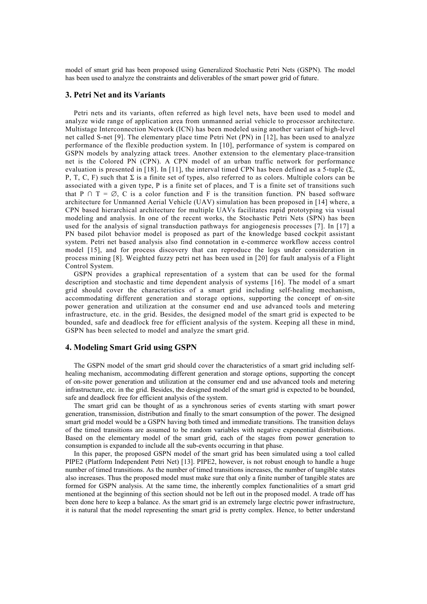model of smart grid has been proposed using Generalized Stochastic Petri Nets (GSPN). The model has been used to analyze the constraints and deliverables of the smart power grid of future.

## **3. Petri Net and its Variants**

Petri nets and its variants, often referred as high level nets, have been used to model and analyze wide range of application area from unmanned aerial vehicle to processor architecture. Multistage Interconnection Network (ICN) has been modeled using another variant of high-level net called S-net [9]. The elementary place time Petri Net (PN) in [12], has been used to analyze performance of the flexible production system. In [10], performance of system is compared on GSPN models by analyzing attack trees. Another extension to the elementary place-transition net is the Colored PN (CPN). A CPN model of an urban traffic network for performance evaluation is presented in [18]. In [11], the interval timed CPN has been defined as a 5-tuple (Σ, P, T, C, F) such that  $\Sigma$  is a finite set of types, also referred to as colors. Multiple colors can be associated with a given type, P is a finite set of places, and T is a finite set of transitions such that P  $\cap$  T =  $\emptyset$ , C is a color function and F is the transition function. PN based software architecture for Unmanned Aerial Vehicle (UAV) simulation has been proposed in [14] where, a CPN based hierarchical architecture for multiple UAVs facilitates rapid prototyping via visual modeling and analysis. In one of the recent works, the Stochastic Petri Nets (SPN) has been used for the analysis of signal transduction pathways for angiogenesis processes [7]. In [17] a PN based pilot behavior model is proposed as part of the knowledge based cockpit assistant system. Petri net based analysis also find connotation in e-commerce workflow access control model [15], and for process discovery that can reproduce the logs under consideration in process mining [8]. Weighted fuzzy petri net has been used in [20] for fault analysis of a Flight Control System.

GSPN provides a graphical representation of a system that can be used for the formal description and stochastic and time dependent analysis of systems [16]. The model of a smart grid should cover the characteristics of a smart grid including self-healing mechanism, accommodating different generation and storage options, supporting the concept of on-site power generation and utilization at the consumer end and use advanced tools and metering infrastructure, etc. in the grid. Besides, the designed model of the smart grid is expected to be bounded, safe and deadlock free for efficient analysis of the system. Keeping all these in mind, GSPN has been selected to model and analyze the smart grid.

#### **4. Modeling Smart Grid using GSPN**

The GSPN model of the smart grid should cover the characteristics of a smart grid including selfhealing mechanism, accommodating different generation and storage options, supporting the concept of on-site power generation and utilization at the consumer end and use advanced tools and metering infrastructure, etc. in the grid. Besides, the designed model of the smart grid is expected to be bounded, safe and deadlock free for efficient analysis of the system.

The smart grid can be thought of as a synchronous series of events starting with smart power generation, transmission, distribution and finally to the smart consumption of the power. The designed smart grid model would be a GSPN having both timed and immediate transitions. The transition delays of the timed transitions are assumed to be random variables with negative exponential distributions. Based on the elementary model of the smart grid, each of the stages from power generation to consumption is expanded to include all the sub-events occurring in that phase.

In this paper, the proposed GSPN model of the smart grid has been simulated using a tool called PIPE2 (Platform Independent Petri Net) [13]. PIPE2, however, is not robust enough to handle a huge number of timed transitions. As the number of timed transitions increases, the number of tangible states also increases. Thus the proposed model must make sure that only a finite number of tangible states are formed for GSPN analysis. At the same time, the inherently complex functionalities of a smart grid mentioned at the beginning of this section should not be left out in the proposed model. A trade off has been done here to keep a balance. As the smart grid is an extremely large electric power infrastructure, it is natural that the model representing the smart grid is pretty complex. Hence, to better understand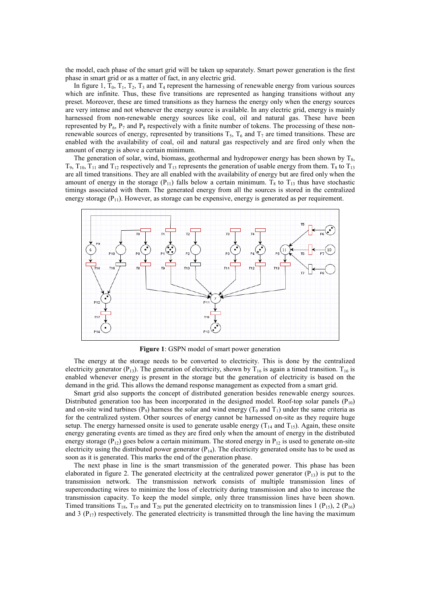the model, each phase of the smart grid will be taken up separately. Smart power generation is the first phase in smart grid or as a matter of fact, in any electric grid.

In figure 1,  $T_0$ ,  $T_1$ ,  $T_2$ ,  $T_3$  and  $T_4$  represent the harnessing of renewable energy from various sources which are infinite. Thus, these five transitions are represented as hanging transitions without any preset. Moreover, these are timed transitions as they harness the energy only when the energy sources are very intense and not whenever the energy source is available. In any electric grid, energy is mainly harnessed from non-renewable energy sources like coal, oil and natural gas. These have been represented by  $P_6$ ,  $P_7$  and  $P_8$  respectively with a finite number of tokens. The processing of these nonrenewable sources of energy, represented by transitions  $T_5$ ,  $T_6$  and  $T_7$  are timed transitions. These are enabled with the availability of coal, oil and natural gas respectively and are fired only when the amount of energy is above a certain minimum.

The generation of solar, wind, biomass, geothermal and hydropower energy has been shown by  $T_{8}$ ,  $T_9$ ,  $T_{10}$ ,  $T_{11}$  and  $T_{12}$  respectively and  $T_{13}$  represents the generation of usable energy from them.  $T_8$  to  $T_{13}$ are all timed transitions. They are all enabled with the availability of energy but are fired only when the amount of energy in the storage ( $P_{11}$ ) falls below a certain minimum. T<sub>8</sub> to T<sub>13</sub> thus have stochastic timings associated with them. The generated energy from all the sources is stored in the centralized energy storage  $(P_{11})$ . However, as storage can be expensive, energy is generated as per requirement.



**Figure 1**: GSPN model of smart power generation

The energy at the storage needs to be converted to electricity. This is done by the centralized electricity generator (P<sub>13</sub>). The generation of electricity, shown by T<sub>16</sub> is again a timed transition. T<sub>16</sub> is enabled whenever energy is present in the storage but the generation of electricity is based on the demand in the grid. This allows the demand response management as expected from a smart grid.

Smart grid also supports the concept of distributed generation besides renewable energy sources. Distributed generation too has been incorporated in the designed model. Roof-top solar panels  $(P_{10})$ and on-site wind turbines (P<sub>9</sub>) harness the solar and wind energy (T<sub>0</sub> and T<sub>1</sub>) under the same criteria as for the centralized system. Other sources of energy cannot be harnessed on-site as they require huge setup. The energy harnessed onsite is used to generate usable energy  $(T_{14}$  and  $T_{15})$ . Again, these onsite energy generating events are timed as they are fired only when the amount of energy in the distributed energy storage ( $P_{12}$ ) goes below a certain minimum. The stored energy in  $P_{12}$  is used to generate on-site electricity using the distributed power generator  $(P_{14})$ . The electricity generated onsite has to be used as soon as it is generated. This marks the end of the generation phase.

The next phase in line is the smart transmission of the generated power. This phase has been elaborated in figure 2. The generated electricity at the centralized power generator  $(P_{13})$  is put to the transmission network. The transmission network consists of multiple transmission lines of superconducting wires to minimize the loss of electricity during transmission and also to increase the transmission capacity. To keep the model simple, only three transmission lines have been shown. Timed transitions  $T_{18}$ ,  $T_{19}$  and  $T_{20}$  put the generated electricity on to transmission lines 1 (P<sub>15</sub>), 2 (P<sub>16</sub>) and 3 ( $P_{17}$ ) respectively. The generated electricity is transmitted through the line having the maximum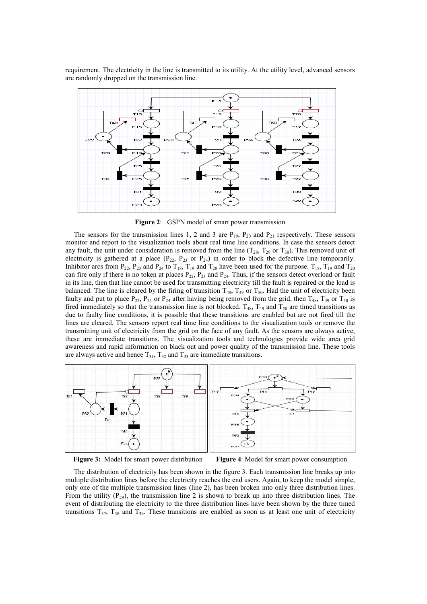requirement. The electricity in the line is transmitted to its utility. At the utility level, advanced sensors are randomly dropped on the transmission line.



**Figure 2**: GSPN model of smart power transmission

The sensors for the transmission lines 1, 2 and 3 are  $P_{19}$ ,  $P_{20}$  and  $P_{21}$  respectively. These sensors monitor and report to the visualization tools about real time line conditions. In case the sensors detect any fault, the unit under consideration is removed from the line  $(T_{28}, T_{29}$  or  $T_{30})$ . This removed unit of electricity is gathered at a place  $(P_{22}, P_{23}$  or  $P_{24}$ ) in order to block the defective line temporarily. Inhibitor arcs from  $P_{22}$ ,  $P_{23}$  and  $P_{24}$  to  $T_{18}$ ,  $T_{19}$  and  $T_{20}$  have been used for the purpose.  $T_{18}$ ,  $T_{19}$  and  $T_{20}$ can fire only if there is no token at places  $P_{22}$ ,  $P_{23}$  and  $P_{24}$ . Thus, if the sensors detect overload or fault in its line, then that line cannot be used for transmitting electricity till the fault is repaired or the load is balanced. The line is cleared by the firing of transition  $T_{48}$ ,  $T_{49}$  or  $T_{50}$ . Had the unit of electricity been faulty and put to place  $P_{22}$ ,  $P_{23}$  or  $P_{24}$  after having being removed from the grid, then  $T_{48}$ ,  $T_{49}$  or  $T_{50}$  is fired immediately so that the transmission line is not blocked.  $T_{48}$ ,  $T_{49}$  and  $T_{50}$  are timed transitions as due to faulty line conditions, it is possible that these transitions are enabled but are not fired till the lines are cleared. The sensors report real time line conditions to the visualization tools or remove the transmitting unit of electricity from the grid on the face of any fault. As the sensors are always active, these are immediate transitions. The visualization tools and technologies provide wide area grid awareness and rapid information on black out and power quality of the transmission line. These tools are always active and hence  $T_{31}$ ,  $T_{32}$  and  $T_{33}$  are immediate transitions.



**Figure 3:** Model for smart power distribution **Figure 4**: Model for smart power consumption

The distribution of electricity has been shown in the figure 3. Each transmission line breaks up into multiple distribution lines before the electricity reaches the end users. Again, to keep the model simple, only one of the multiple transmission lines (line 2), has been broken into only three distribution lines. From the utility  $(P_{29})$ , the transmission line 2 is shown to break up into three distribution lines. The event of distributing the electricity to the three distribution lines have been shown by the three timed transitions  $T_{37}$ ,  $T_{38}$  and  $T_{39}$ . These transitions are enabled as soon as at least one unit of electricity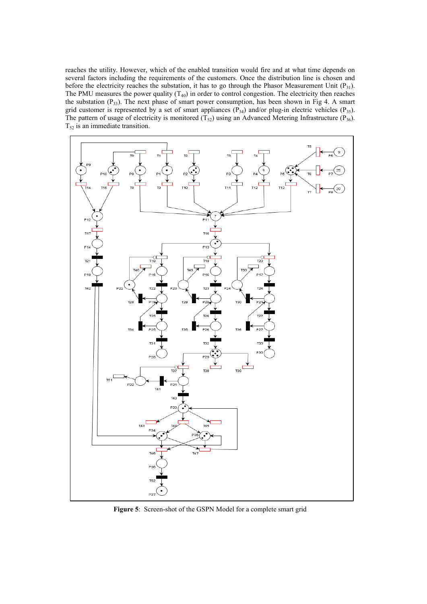reaches the utility. However, which of the enabled transition would fire and at what time depends on several factors including the requirements of the customers. Once the distribution line is chosen and before the electricity reaches the substation, it has to go through the Phasor Measurement Unit  $(P_{31})$ . The PMU measures the power quality  $(T_{40})$  in order to control congestion. The electricity then reaches the substation  $(P_{33})$ . The next phase of smart power consumption, has been shown in Fig 4. A smart grid customer is represented by a set of smart appliances  $(P_{34})$  and/or plug-in electric vehicles  $(P_{35})$ . The pattern of usage of electricity is monitored  $(T_{52})$  using an Advanced Metering Infrastructure (P<sub>36</sub>).  $T_{52}$  is an immediate transition.



**Figure 5**: Screen-shot of the GSPN Model for a complete smart grid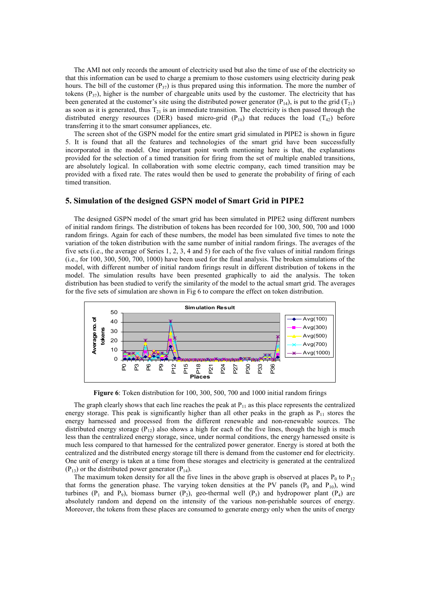The AMI not only records the amount of electricity used but also the time of use of the electricity so that this information can be used to charge a premium to those customers using electricity during peak hours. The bill of the customer  $(P_{37})$  is thus prepared using this information. The more the number of tokens  $(P_{37})$ , higher is the number of chargeable units used by the customer. The electricity that has been generated at the customer's site using the distributed power generator ( $P_{14}$ ), is put to the grid ( $T_{21}$ ) as soon as it is generated, thus  $T_{21}$  is an immediate transition. The electricity is then passed through the distributed energy resources (DER) based micro-grid ( $P_{18}$ ) that reduces the load ( $T_{42}$ ) before transferring it to the smart consumer appliances, etc.

The screen shot of the GSPN model for the entire smart grid simulated in PIPE2 is shown in figure 5. It is found that all the features and technologies of the smart grid have been successfully incorporated in the model. One important point worth mentioning here is that, the explanations provided for the selection of a timed transition for firing from the set of multiple enabled transitions, are absolutely logical. In collaboration with some electric company, each timed transition may be provided with a fixed rate. The rates would then be used to generate the probability of firing of each timed transition.

## **5. Simulation of the designed GSPN model of Smart Grid in PIPE2**

The designed GSPN model of the smart grid has been simulated in PIPE2 using different numbers of initial random firings. The distribution of tokens has been recorded for 100, 300, 500, 700 and 1000 random firings. Again for each of these numbers, the model has been simulated five times to note the variation of the token distribution with the same number of initial random firings. The averages of the five sets (i.e., the average of Series 1, 2, 3, 4 and 5) for each of the five values of initial random firings (i.e., for 100, 300, 500, 700, 1000) have been used for the final analysis. The broken simulations of the model, with different number of initial random firings result in different distribution of tokens in the model. The simulation results have been presented graphically to aid the analysis. The token distribution has been studied to verify the similarity of the model to the actual smart grid. The averages for the five sets of simulation are shown in Fig 6 to compare the effect on token distribution.



**Figure 6**: Token distribution for 100, 300, 500, 700 and 1000 initial random firings

The graph clearly shows that each line reaches the peak at  $P_{11}$  as this place represents the centralized energy storage. This peak is significantly higher than all other peaks in the graph as  $P_{11}$  stores the energy harnessed and processed from the different renewable and non-renewable sources. The distributed energy storage ( $P_{12}$ ) also shows a high for each of the five lines, though the high is much less than the centralized energy storage, since, under normal conditions, the energy harnessed onsite is much less compared to that harnessed for the centralized power generator. Energy is stored at both the centralized and the distributed energy storage till there is demand from the customer end for electricity. One unit of energy is taken at a time from these storages and electricity is generated at the centralized  $(P_{13})$  or the distributed power generator  $(P_{14})$ .

The maximum token density for all the five lines in the above graph is observed at places  $P_0$  to  $P_{12}$ that forms the generation phase. The varying token densities at the PV panels  $(P_0 \text{ and } P_{10})$ , wind turbines  $(P_1 \text{ and } P_2)$ , biomass burner  $(P_2)$ , geo-thermal well  $(P_3)$  and hydropower plant  $(P_4)$  are absolutely random and depend on the intensity of the various non-perishable sources of energy. Moreover, the tokens from these places are consumed to generate energy only when the units of energy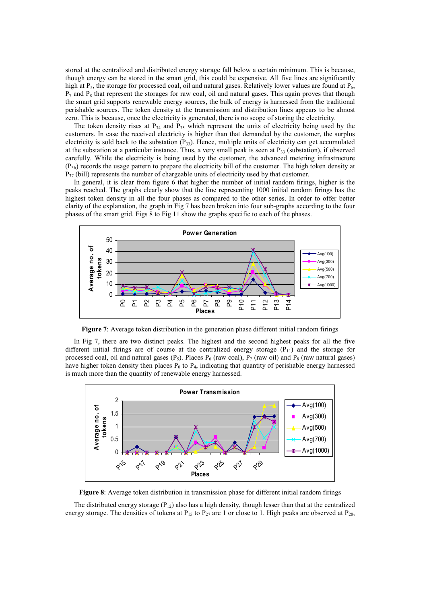stored at the centralized and distributed energy storage fall below a certain minimum. This is because, though energy can be stored in the smart grid, this could be expensive. All five lines are significantly high at  $P_5$ , the storage for processed coal, oil and natural gases. Relatively lower values are found at  $P_6$ ,  $P_7$  and  $P_8$  that represent the storages for raw coal, oil and natural gases. This again proves that though the smart grid supports renewable energy sources, the bulk of energy is harnessed from the traditional perishable sources. The token density at the transmission and distribution lines appears to be almost zero. This is because, once the electricity is generated, there is no scope of storing the electricity.

The token density rises at  $P_{34}$  and  $P_{35}$  which represent the units of electricity being used by the customers. In case the received electricity is higher than that demanded by the customer, the surplus electricity is sold back to the substation  $(P_{33})$ . Hence, multiple units of electricity can get accumulated at the substation at a particular instance. Thus, a very small peak is seen at  $P_{33}$  (substation), if observed carefully. While the electricity is being used by the customer, the advanced metering infrastructure  $(P_{36})$  records the usage pattern to prepare the electricity bill of the customer. The high token density at  $P_{37}$  (bill) represents the number of chargeable units of electricity used by that customer.

In general, it is clear from figure 6 that higher the number of initial random firings, higher is the peaks reached. The graphs clearly show that the line representing 1000 initial random firings has the highest token density in all the four phases as compared to the other series. In order to offer better clarity of the explanation, the graph in Fig 7 has been broken into four sub-graphs according to the four phases of the smart grid. Figs 8 to Fig 11 show the graphs specific to each of the phases.



**Figure 7**: Average token distribution in the generation phase different initial random firings

In Fig 7, there are two distinct peaks. The highest and the second highest peaks for all the five different initial firings are of course at the centralized energy storage  $(P_{11})$  and the storage for processed coal, oil and natural gases ( $P_5$ ). Places  $P_6$  (raw coal),  $P_7$  (raw oil) and  $P_8$  (raw natural gases) have higher token density then places  $P_0$  to  $P_4$ , indicating that quantity of perishable energy harnessed is much more than the quantity of renewable energy harnessed.



**Figure 8**: Average token distribution in transmission phase for different initial random firings

The distributed energy storage  $(P_{12})$  also has a high density, though lesser than that at the centralized energy storage. The densities of tokens at  $P_{15}$  to  $P_{27}$  are 1 or close to 1. High peaks are observed at  $P_{28}$ ,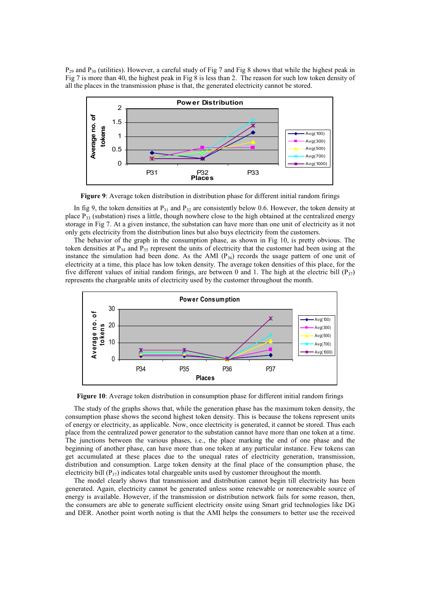$P_{29}$  and  $P_{30}$  (utilities). However, a careful study of Fig 7 and Fig 8 shows that while the highest peak in Fig 7 is more than 40, the highest peak in Fig 8 is less than 2. The reason for such low token density of all the places in the transmission phase is that, the generated electricity cannot be stored.



**Figure 9**: Average token distribution in distribution phase for different initial random firings

In fig 9, the token densities at  $P_{31}$  and  $P_{32}$  are consistently below 0.6. However, the token density at place  $P_{33}$  (substation) rises a little, though nowhere close to the high obtained at the centralized energy storage in Fig 7. At a given instance, the substation can have more than one unit of electricity as it not only gets electricity from the distribution lines but also buys electricity from the customers.

The behavior of the graph in the consumption phase, as shown in Fig 10, is pretty obvious. The token densities at  $P_{34}$  and  $P_{35}$  represent the units of electricity that the customer had been using at the instance the simulation had been done. As the AMI  $(P_{36})$  records the usage pattern of one unit of electricity at a time, this place has low token density. The average token densities of this place, for the five different values of initial random firings, are between 0 and 1. The high at the electric bill ( $P_{37}$ ) represents the chargeable units of electricity used by the customer throughout the month.



**Figure 10**: Average token distribution in consumption phase for different initial random firings

The study of the graphs shows that, while the generation phase has the maximum token density, the consumption phase shows the second highest token density. This is because the tokens represent units of energy or electricity, as applicable. Now, once electricity is generated, it cannot be stored. Thus each place from the centralized power generator to the substation cannot have more than one token at a time. The junctions between the various phases, i.e., the place marking the end of one phase and the beginning of another phase, can have more than one token at any particular instance. Few tokens can get accumulated at these places due to the unequal rates of electricity generation, transmission, distribution and consumption. Large token density at the final place of the consumption phase, the electricity bill  $(P_{37})$  indicates total chargeable units used by customer throughout the month.

The model clearly shows that transmission and distribution cannot begin till electricity has been generated. Again, electricity cannot be generated unless some renewable or nonrenewable source of energy is available. However, if the transmission or distribution network fails for some reason, then, the consumers are able to generate sufficient electricity onsite using Smart grid technologies like DG and DER. Another point worth noting is that the AMI helps the consumers to better use the received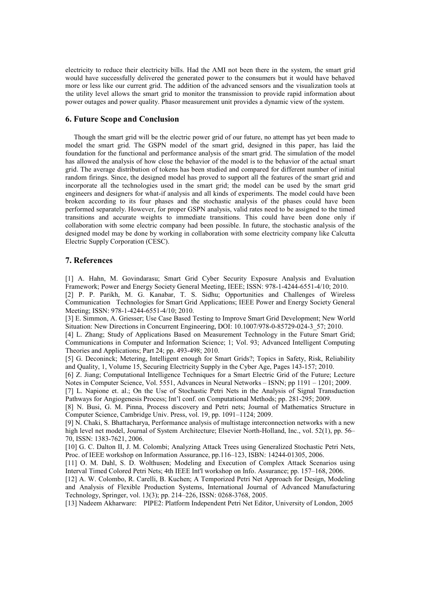electricity to reduce their electricity bills. Had the AMI not been there in the system, the smart grid would have successfully delivered the generated power to the consumers but it would have behaved more or less like our current grid. The addition of the advanced sensors and the visualization tools at the utility level allows the smart grid to monitor the transmission to provide rapid information about power outages and power quality. Phasor measurement unit provides a dynamic view of the system.

# **6. Future Scope and Conclusion**

Though the smart grid will be the electric power grid of our future, no attempt has yet been made to model the smart grid. The GSPN model of the smart grid, designed in this paper, has laid the foundation for the functional and performance analysis of the smart grid. The simulation of the model has allowed the analysis of how close the behavior of the model is to the behavior of the actual smart grid. The average distribution of tokens has been studied and compared for different number of initial random firings. Since, the designed model has proved to support all the features of the smart grid and incorporate all the technologies used in the smart grid; the model can be used by the smart grid engineers and designers for what-if analysis and all kinds of experiments. The model could have been broken according to its four phases and the stochastic analysis of the phases could have been performed separately. However, for proper GSPN analysis, valid rates need to be assigned to the timed transitions and accurate weights to immediate transitions. This could have been done only if collaboration with some electric company had been possible. In future, the stochastic analysis of the designed model may be done by working in collaboration with some electricity company like Calcutta Electric Supply Corporation (CESC).

## **7. References**

[1] A. Hahn, M. Govindarasu; Smart Grid Cyber Security Exposure Analysis and Evaluation Framework; Power and Energy Society General Meeting, IEEE; ISSN: 978-1-4244-6551-4/10; 2010.

[2] P. P. Parikh, M. G. Kanabar, T. S. Sidhu; Opportunities and Challenges of Wireless Communication Technologies for Smart Grid Applications; IEEE Power and Energy Society General Meeting; ISSN: 978-1-4244-6551-4/10; 2010.

[3] E. Simmon, A. Griesser; Use Case Based Testing to Improve Smart Grid Development; New World Situation: New Directions in Concurrent Engineering, DOI: 10.1007/978-0-85729-024-3\_57; 2010.

[4] L. Zhang; Study of Applications Based on Measurement Technology in the Future Smart Grid; Communications in Computer and Information Science; 1; Vol. 93; Advanced Intelligent Computing Theories and Applications; Part 24; pp. 493-498; 2010.

[5] G. Deconinck; Metering, Intelligent enough for Smart Grids?; Topics in Safety, Risk, Reliability and Quality, 1, Volume 15, Securing Electricity Supply in the Cyber Age, Pages 143-157; 2010.

[6] Z. Jiang; Computational Intelligence Techniques for a Smart Electric Grid of the Future; Lecture Notes in Computer Science, Vol. 5551, Advances in Neural Networks – ISNN; pp 1191 – 1201; 2009.

[7] L. Napione et. al.; On the Use of Stochastic Petri Nets in the Analysis of Signal Transduction Pathways for Angiogenesis Process; Int'l conf. on Computational Methods; pp. 281-295; 2009.

[8] N. Busi, G. M. Pinna, Process discovery and Petri nets; Journal of Mathematics Structure in Computer Science, Cambridge Univ. Press, vol. 19, pp. 1091–1124; 2009.

[9] N. Chaki, S. Bhattacharya, Performance analysis of multistage interconnection networks with a new high level net model, Journal of System Architecture; Elsevier North-Holland, Inc., vol. 52(1), pp. 56– 70, ISSN: 1383-7621, 2006.

[10] G. C. Dalton II, J. M. Colombi; Analyzing Attack Trees using Generalized Stochastic Petri Nets, Proc. of IEEE workshop on Information Assurance, pp.116–123, ISBN: 14244-01305, 2006.

[11] O. M. Dahl, S. D. Wolthusen; Modeling and Execution of Complex Attack Scenarios using Interval Timed Colored Petri Nets; 4th IEEE Int'l workshop on Info. Assurance; pp. 157–168, 2006.

[12] A. W. Colombo, R. Carelli, B. Kuchen; A Temporized Petri Net Approach for Design, Modeling and Analysis of Flexible Production Systems, International Journal of Advanced Manufacturing Technology, Springer, vol. 13(3); pp. 214–226, ISSN: 0268-3768, 2005.

[13] Nadeem Akharware: PIPE2: Platform Independent Petri Net Editor, University of London, 2005